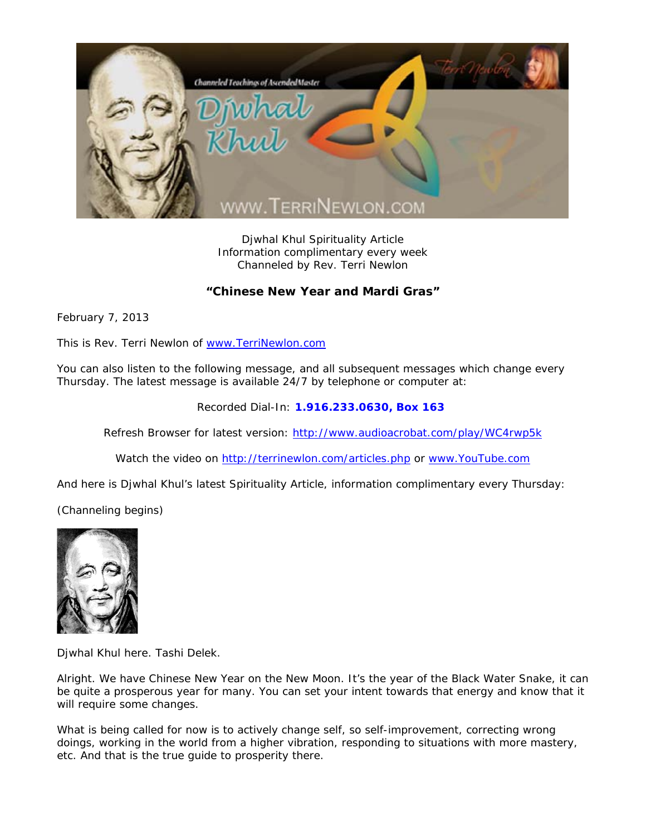

Djwhal Khul Spirituality Article Information complimentary every week Channeled by Rev. Terri Newlon

## **"Chinese New Year and Mardi Gras"**

February 7, 2013

This is Rev. Terri Newlon of www.TerriNewlon.com

You can also listen to the following message, and all subsequent messages which change every Thursday. The latest message is available 24/7 by telephone or computer at:

Recorded Dial-In: **1.916.233.0630, Box 163** 

Refresh Browser for latest version: http://www.audioacrobat.com/play/WC4rwp5k

Watch the video on http://terrinewlon.com/articles.php or www.YouTube.com

And here is Djwhal Khul's latest Spirituality Article, information complimentary every Thursday:

(Channeling begins)



Djwhal Khul here. Tashi Delek.

Alright. We have Chinese New Year on the New Moon. It's the year of the Black Water Snake, it can be quite a prosperous year for many. You can set your intent towards that energy and know that it will require some changes.

What is being called for now is to actively change self, so self-improvement, correcting wrong doings, working in the world from a higher vibration, responding to situations with more mastery, etc. And that is the true guide to prosperity there.